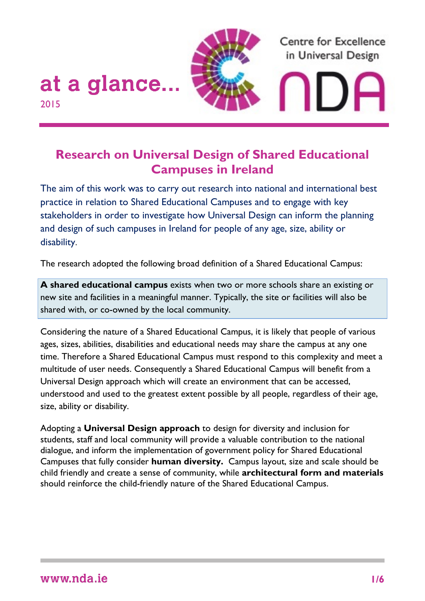

# **Research on Universal Design of Shared Educational Campuses in Ireland**

The aim of this work was to carry out research into national and international best practice in relation to Shared Educational Campuses and to engage with key stakeholders in order to investigate how Universal Design can inform the planning and design of such campuses in Ireland for people of any age, size, ability or disability.

The research adopted the following broad definition of a Shared Educational Campus:

**A shared educational campus** exists when two or more schools share an existing or new site and facilities in a meaningful manner. Typically, the site or facilities will also be shared with, or co-owned by the local community.

Considering the nature of a Shared Educational Campus, it is likely that people of various ages, sizes, abilities, disabilities and educational needs may share the campus at any one time. Therefore a Shared Educational Campus must respond to this complexity and meet a multitude of user needs. Consequently a Shared Educational Campus will benefit from a Universal Design approach which will create an environment that can be accessed, understood and used to the greatest extent possible by all people, regardless of their age, size, ability or disability.

Adopting a **Universal Design approach** to design for diversity and inclusion for students, staff and local community will provide a valuable contribution to the national dialogue, and inform the implementation of government policy for Shared Educational Campuses that fully consider **human diversity.** Campus layout, size and scale should be child friendly and create a sense of community, while **architectural form and materials** should reinforce the child-friendly nature of the Shared Educational Campus.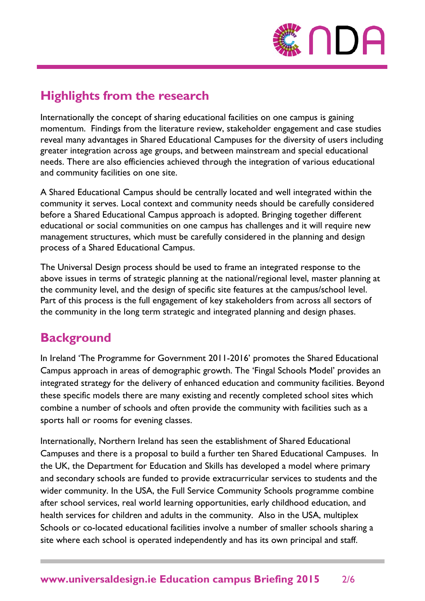

# **Highlights from the research**

Internationally the concept of sharing educational facilities on one campus is gaining momentum. Findings from the literature review, stakeholder engagement and case studies reveal many advantages in Shared Educational Campuses for the diversity of users including greater integration across age groups, and between mainstream and special educational needs. There are also efficiencies achieved through the integration of various educational and community facilities on one site.

A Shared Educational Campus should be centrally located and well integrated within the community it serves. Local context and community needs should be carefully considered before a Shared Educational Campus approach is adopted. Bringing together different educational or social communities on one campus has challenges and it will require new management structures, which must be carefully considered in the planning and design process of a Shared Educational Campus.

The Universal Design process should be used to frame an integrated response to the above issues in terms of strategic planning at the national/regional level, master planning at the community level, and the design of specific site features at the campus/school level. Part of this process is the full engagement of key stakeholders from across all sectors of the community in the long term strategic and integrated planning and design phases.

# **Background**

In Ireland 'The Programme for Government 2011-2016' promotes the Shared Educational Campus approach in areas of demographic growth. The 'Fingal Schools Model' provides an integrated strategy for the delivery of enhanced education and community facilities. Beyond these specific models there are many existing and recently completed school sites which combine a number of schools and often provide the community with facilities such as a sports hall or rooms for evening classes.

Internationally, Northern Ireland has seen the establishment of Shared Educational Campuses and there is a proposal to build a further ten Shared Educational Campuses. In the UK, the Department for Education and Skills has developed a model where primary and secondary schools are funded to provide extracurricular services to students and the wider community. In the USA, the Full Service Community Schools programme combine after school services, real world learning opportunities, early childhood education, and health services for children and adults in the community. Also in the USA, multiplex Schools or co-located educational facilities involve a number of smaller schools sharing a site where each school is operated independently and has its own principal and staff.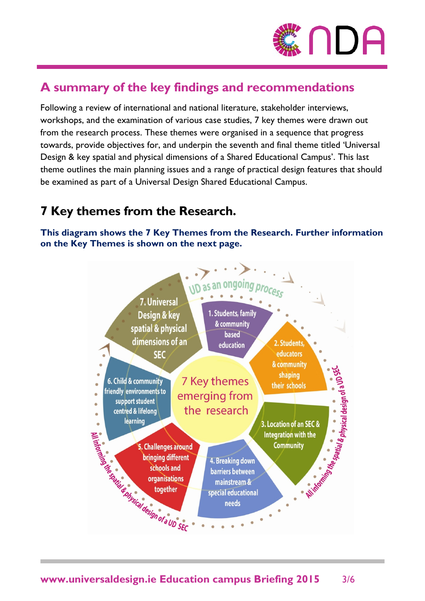

# **A summary of the key findings and recommendations**

Following a review of international and national literature, stakeholder interviews, workshops, and the examination of various case studies, 7 key themes were drawn out from the research process. These themes were organised in a sequence that progress towards, provide objectives for, and underpin the seventh and final theme titled 'Universal Design & key spatial and physical dimensions of a Shared Educational Campus'. This last theme outlines the main planning issues and a range of practical design features that should be examined as part of a Universal Design Shared Educational Campus.

# **7 Key themes from the Research.**

**This diagram shows the 7 Key Themes from the Research. Further information on the Key Themes is shown on the next page.**

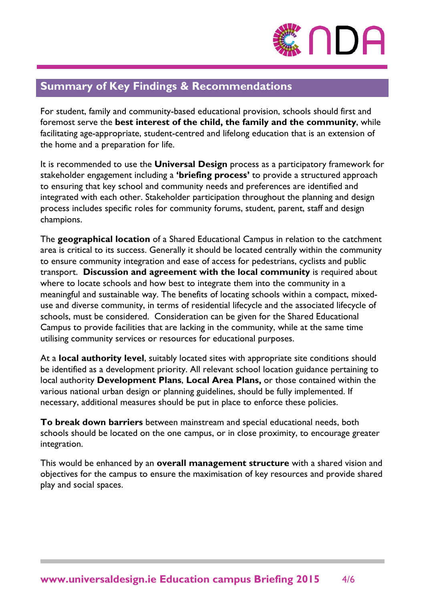

#### **Summary of Key Findings & Recommendations**

For student, family and community-based educational provision, schools should first and foremost serve the **best interest of the child, the family and the community**, while facilitating age-appropriate, student-centred and lifelong education that is an extension of the home and a preparation for life.

It is recommended to use the **Universal Design** process as a participatory framework for stakeholder engagement including a **'briefing process'** to provide a structured approach to ensuring that key school and community needs and preferences are identified and integrated with each other. Stakeholder participation throughout the planning and design process includes specific roles for community forums, student, parent, staff and design champions.

The **geographical location** of a Shared Educational Campus in relation to the catchment area is critical to its success. Generally it should be located centrally within the community to ensure community integration and ease of access for pedestrians, cyclists and public transport. **Discussion and agreement with the local community** is required about where to locate schools and how best to integrate them into the community in a meaningful and sustainable way. The benefits of locating schools within a compact, mixeduse and diverse community, in terms of residential lifecycle and the associated lifecycle of schools, must be considered. Consideration can be given for the Shared Educational Campus to provide facilities that are lacking in the community, while at the same time utilising community services or resources for educational purposes.

At a **local authority level**, suitably located sites with appropriate site conditions should be identified as a development priority. All relevant school location guidance pertaining to local authority **Development Plans**, **Local Area Plans,** or those contained within the various national urban design or planning guidelines, should be fully implemented. If necessary, additional measures should be put in place to enforce these policies.

**To break down barriers** between mainstream and special educational needs, both schools should be located on the one campus, or in close proximity, to encourage greater integration.

This would be enhanced by an **overall management structure** with a shared vision and objectives for the campus to ensure the maximisation of key resources and provide shared play and social spaces.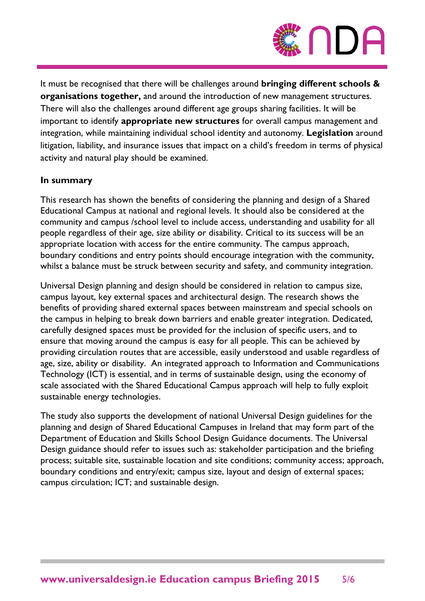

It must be recognised that there will be challenges around **bringing different schools & organisations together,** and around the introduction of new management structures. There will also the challenges around different age groups sharing facilities. It will be important to identify **appropriate new structures** for overall campus management and integration, while maintaining individual school identity and autonomy. **Legislation** around litigation, liability, and insurance issues that impact on a child's freedom in terms of physical activity and natural play should be examined.

#### **In summary**

This research has shown the benefits of considering the planning and design of a Shared Educational Campus at national and regional levels. It should also be considered at the community and campus /school level to include access, understanding and usability for all people regardless of their age, size ability or disability. Critical to its success will be an appropriate location with access for the entire community. The campus approach, boundary conditions and entry points should encourage integration with the community, whilst a balance must be struck between security and safety, and community integration.

Universal Design planning and design should be considered in relation to campus size, campus layout, key external spaces and architectural design. The research shows the benefits of providing shared external spaces between mainstream and special schools on the campus in helping to break down barriers and enable greater integration. Dedicated, carefully designed spaces must be provided for the inclusion of specific users, and to ensure that moving around the campus is easy for all people. This can be achieved by providing circulation routes that are accessible, easily understood and usable regardless of age, size, ability or disability. An integrated approach to Information and Communications Technology (ICT) is essential, and in terms of sustainable design, using the economy of scale associated with the Shared Educational Campus approach will help to fully exploit sustainable energy technologies.

The study also supports the development of national Universal Design guidelines for the planning and design of Shared Educational Campuses in Ireland that may form part of the Department of Education and Skills School Design Guidance documents. The Universal Design guidance should refer to issues such as: stakeholder participation and the briefing process; suitable site, sustainable location and site conditions; community access; approach, boundary conditions and entry/exit; campus size, layout and design of external spaces; campus circulation; ICT; and sustainable design.